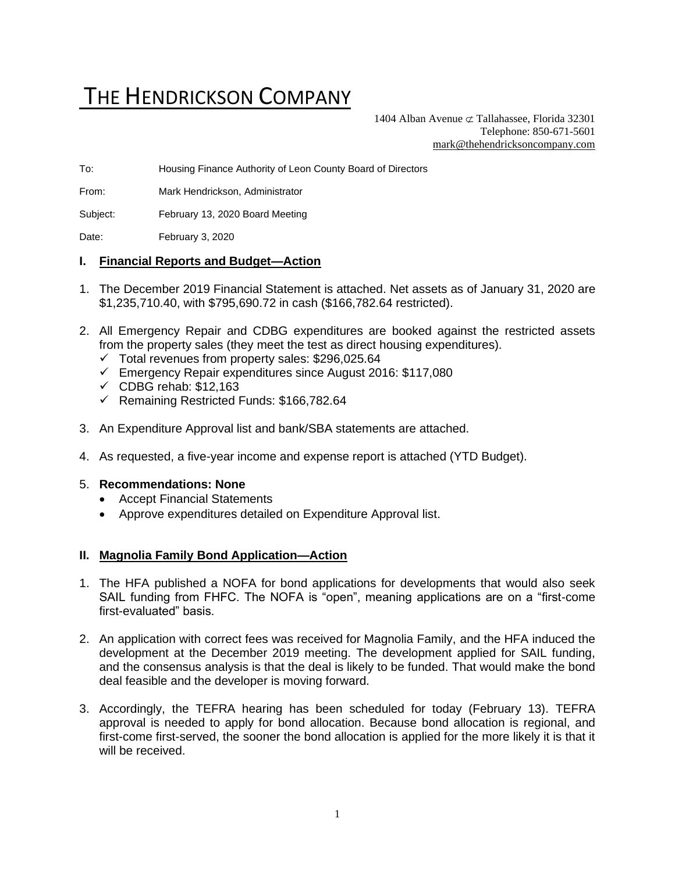# THE HENDRICKSON COMPANY

1404 Alban Avenue  $\sigma$  Tallahassee, Florida 32301 Telephone: 850-671-5601 [mark@thehendricksoncompany.com](mailto:mark@thehendricksoncompany.com)

To: Housing Finance Authority of Leon County Board of Directors

From: Mark Hendrickson, Administrator

Subject: February 13, 2020 Board Meeting

Date: February 3, 2020

#### **I. Financial Reports and Budget—Action**

- 1. The December 2019 Financial Statement is attached. Net assets as of January 31, 2020 are \$1,235,710.40, with \$795,690.72 in cash (\$166,782.64 restricted).
- 2. All Emergency Repair and CDBG expenditures are booked against the restricted assets from the property sales (they meet the test as direct housing expenditures).
	- $\checkmark$  Total revenues from property sales: \$296,025.64
	- ✓ Emergency Repair expenditures since August 2016: \$117,080
	- $\checkmark$  CDBG rehab: \$12,163
	- ✓ Remaining Restricted Funds: \$166,782.64
- 3. An Expenditure Approval list and bank/SBA statements are attached.
- 4. As requested, a five-year income and expense report is attached (YTD Budget).

#### 5. **Recommendations: None**

- Accept Financial Statements
- Approve expenditures detailed on Expenditure Approval list.

#### **II. Magnolia Family Bond Application—Action**

- 1. The HFA published a NOFA for bond applications for developments that would also seek SAIL funding from FHFC. The NOFA is "open", meaning applications are on a "first-come first-evaluated" basis.
- 2. An application with correct fees was received for Magnolia Family, and the HFA induced the development at the December 2019 meeting. The development applied for SAIL funding, and the consensus analysis is that the deal is likely to be funded. That would make the bond deal feasible and the developer is moving forward.
- 3. Accordingly, the TEFRA hearing has been scheduled for today (February 13). TEFRA approval is needed to apply for bond allocation. Because bond allocation is regional, and first-come first-served, the sooner the bond allocation is applied for the more likely it is that it will be received.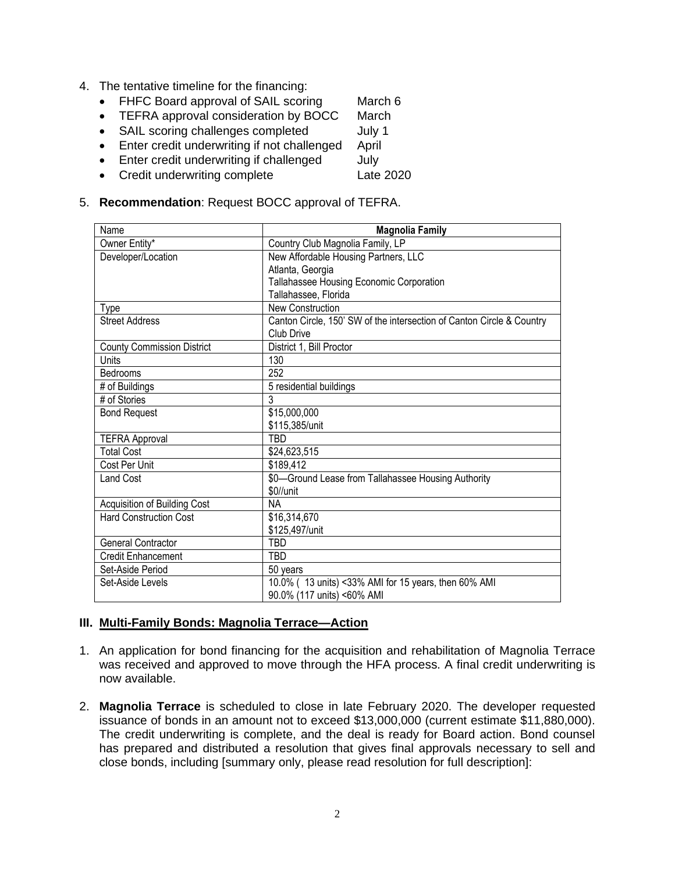- 4. The tentative timeline for the financing:
	- FHFC Board approval of SAIL scoring March 6
	- TEFRA approval consideration by BOCC March
	- SAIL scoring challenges completed July 1
	- Enter credit underwriting if not challenged April
	- Enter credit underwriting if challenged July
	- Credit underwriting complete Late 2020

#### 5. **Recommendation**: Request BOCC approval of TEFRA.

| Name                              | <b>Magnolia Family</b>                                                |
|-----------------------------------|-----------------------------------------------------------------------|
| Owner Entity*                     | Country Club Magnolia Family, LP                                      |
| Developer/Location                | New Affordable Housing Partners, LLC                                  |
|                                   | Atlanta, Georgia                                                      |
|                                   | Tallahassee Housing Economic Corporation                              |
|                                   | Tallahassee, Florida                                                  |
| Type                              | <b>New Construction</b>                                               |
| <b>Street Address</b>             | Canton Circle, 150' SW of the intersection of Canton Circle & Country |
|                                   | Club Drive                                                            |
| <b>County Commission District</b> | District 1, Bill Proctor                                              |
| Units                             | 130                                                                   |
| <b>Bedrooms</b>                   | 252                                                                   |
| # of Buildings                    | 5 residential buildings                                               |
| # of Stories                      | 3                                                                     |
| <b>Bond Request</b>               | \$15,000,000                                                          |
|                                   | \$115,385/unit                                                        |
| <b>TEFRA Approval</b>             | TBD                                                                   |
| <b>Total Cost</b>                 | \$24,623,515                                                          |
| Cost Per Unit                     | \$189,412                                                             |
| <b>Land Cost</b>                  | \$0-Ground Lease from Tallahassee Housing Authority                   |
|                                   | \$0//unit                                                             |
| Acquisition of Building Cost      | ΝA                                                                    |
| <b>Hard Construction Cost</b>     | \$16,314,670                                                          |
|                                   | \$125,497/unit                                                        |
| <b>General Contractor</b>         | TBD                                                                   |
| <b>Credit Enhancement</b>         | <b>TBD</b>                                                            |
| Set-Aside Period                  | 50 years                                                              |
| Set-Aside Levels                  | 10.0% (13 units) <33% AMI for 15 years, then 60% AMI                  |
|                                   | 90.0% (117 units) <60% AMI                                            |

#### **III. Multi-Family Bonds: Magnolia Terrace—Action**

- 1. An application for bond financing for the acquisition and rehabilitation of Magnolia Terrace was received and approved to move through the HFA process. A final credit underwriting is now available.
- 2. **Magnolia Terrace** is scheduled to close in late February 2020. The developer requested issuance of bonds in an amount not to exceed \$13,000,000 (current estimate \$11,880,000). The credit underwriting is complete, and the deal is ready for Board action. Bond counsel has prepared and distributed a resolution that gives final approvals necessary to sell and close bonds, including [summary only, please read resolution for full description]: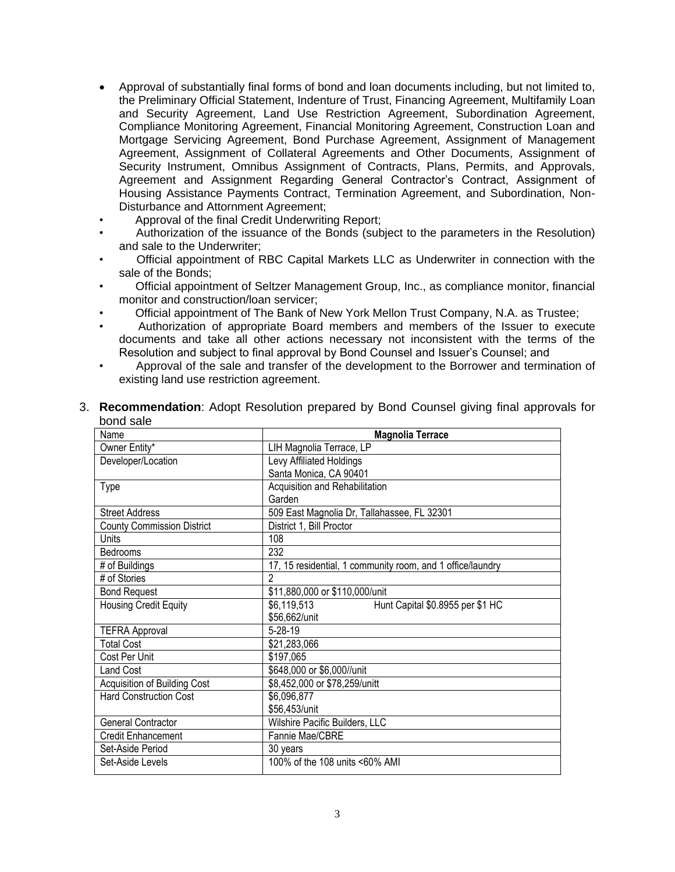- Approval of substantially final forms of bond and loan documents including, but not limited to, the Preliminary Official Statement, Indenture of Trust, Financing Agreement, Multifamily Loan and Security Agreement, Land Use Restriction Agreement, Subordination Agreement, Compliance Monitoring Agreement, Financial Monitoring Agreement, Construction Loan and Mortgage Servicing Agreement, Bond Purchase Agreement, Assignment of Management Agreement, Assignment of Collateral Agreements and Other Documents, Assignment of Security Instrument, Omnibus Assignment of Contracts, Plans, Permits, and Approvals, Agreement and Assignment Regarding General Contractor's Contract, Assignment of Housing Assistance Payments Contract, Termination Agreement, and Subordination, Non-Disturbance and Attornment Agreement;
- Approval of the final Credit Underwriting Report;
- Authorization of the issuance of the Bonds (subject to the parameters in the Resolution) and sale to the Underwriter;
- Official appointment of RBC Capital Markets LLC as Underwriter in connection with the sale of the Bonds;
- Official appointment of Seltzer Management Group, Inc., as compliance monitor, financial monitor and construction/loan servicer;
- Official appointment of The Bank of New York Mellon Trust Company, N.A. as Trustee;
- Authorization of appropriate Board members and members of the Issuer to execute documents and take all other actions necessary not inconsistent with the terms of the Resolution and subject to final approval by Bond Counsel and Issuer's Counsel; and
- Approval of the sale and transfer of the development to the Borrower and termination of existing land use restriction agreement.

| Name                              | <b>Magnolia Terrace</b>                                    |
|-----------------------------------|------------------------------------------------------------|
| Owner Entity*                     | LIH Magnolia Terrace, LP                                   |
| Developer/Location                | Levy Affiliated Holdings                                   |
|                                   | Santa Monica, CA 90401                                     |
| Type                              | Acquisition and Rehabilitation                             |
|                                   | Garden                                                     |
| <b>Street Address</b>             | 509 East Magnolia Dr, Tallahassee, FL 32301                |
| <b>County Commission District</b> | District 1, Bill Proctor                                   |
| Units                             | 108                                                        |
| <b>Bedrooms</b>                   | 232                                                        |
| # of Buildings                    | 17, 15 residential, 1 community room, and 1 office/laundry |
| # of Stories                      | $\mathfrak{p}$                                             |
| <b>Bond Request</b>               | \$11,880,000 or \$110,000/unit                             |
| <b>Housing Credit Equity</b>      | \$6,119,513<br>Hunt Capital \$0.8955 per \$1 HC            |
|                                   | \$56,662/unit                                              |
| <b>TEFRA Approval</b>             | $5 - 28 - 19$                                              |
| <b>Total Cost</b>                 | \$21,283,066                                               |
| Cost Per Unit                     | \$197,065                                                  |
| <b>Land Cost</b>                  | \$648,000 or \$6,000//unit                                 |
| Acquisition of Building Cost      | \$8,452,000 or \$78,259/unitt                              |
| <b>Hard Construction Cost</b>     | \$6,096,877                                                |
|                                   | \$56,453/unit                                              |
| General Contractor                | Wilshire Pacific Builders, LLC                             |
| <b>Credit Enhancement</b>         | Fannie Mae/CBRE                                            |
| Set-Aside Period                  | 30 years                                                   |
| Set-Aside Levels                  | 100% of the 108 units <60% AMI                             |

3. **Recommendation**: Adopt Resolution prepared by Bond Counsel giving final approvals for bond sale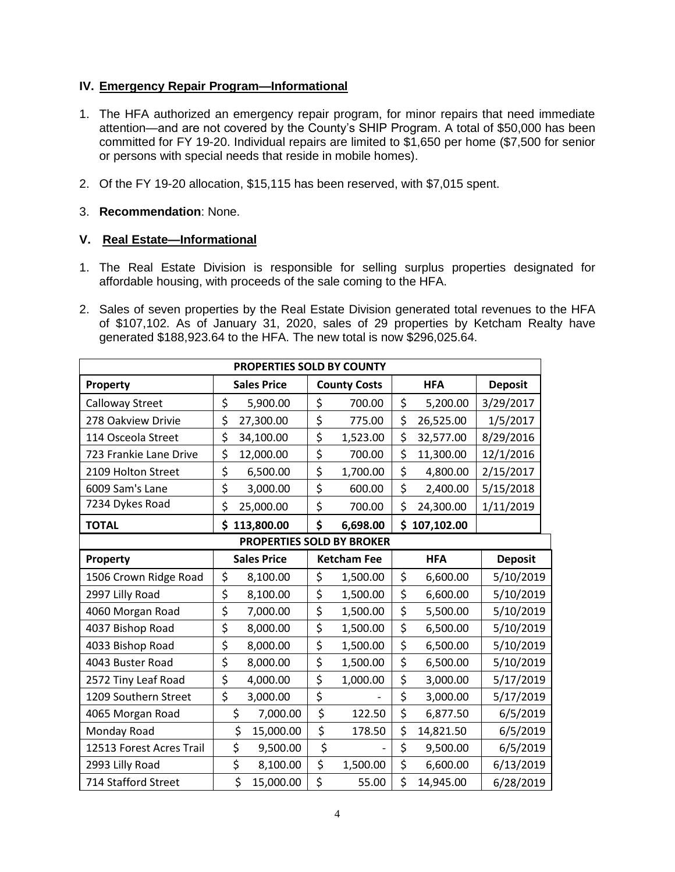### **IV. Emergency Repair Program—Informational**

- 1. The HFA authorized an emergency repair program, for minor repairs that need immediate attention—and are not covered by the County's SHIP Program. A total of \$50,000 has been committed for FY 19-20. Individual repairs are limited to \$1,650 per home (\$7,500 for senior or persons with special needs that reside in mobile homes).
- 2. Of the FY 19-20 allocation, \$15,115 has been reserved, with \$7,015 spent.
- 3. **Recommendation**: None.

### **V. Real Estate—Informational**

- 1. The Real Estate Division is responsible for selling surplus properties designated for affordable housing, with proceeds of the sale coming to the HFA.
- 2. Sales of seven properties by the Real Estate Division generated total revenues to the HFA of \$107,102. As of January 31, 2020, sales of 29 properties by Ketcham Realty have generated \$188,923.64 to the HFA. The new total is now \$296,025.64.

| PROPERTIES SOLD BY COUNTY        |                         |            |                     |          |            |            |                |  |  |
|----------------------------------|-------------------------|------------|---------------------|----------|------------|------------|----------------|--|--|
| Property                         | <b>Sales Price</b>      |            | <b>County Costs</b> |          | <b>HFA</b> |            | <b>Deposit</b> |  |  |
| Calloway Street                  | \$                      | 5,900.00   | \$                  | 700.00   | \$         | 5,200.00   | 3/29/2017      |  |  |
| 278 Oakview Drivie               | \$                      | 27,300.00  | \$                  | 775.00   | \$         | 26,525.00  | 1/5/2017       |  |  |
| 114 Osceola Street               | \$                      | 34,100.00  | \$                  | 1,523.00 | \$         | 32,577.00  | 8/29/2016      |  |  |
| 723 Frankie Lane Drive           | \$                      | 12,000.00  | \$                  | 700.00   | \$         | 11,300.00  | 12/1/2016      |  |  |
| 2109 Holton Street               | \$                      | 6,500.00   | \$                  | 1,700.00 | \$         | 4,800.00   | 2/15/2017      |  |  |
| 6009 Sam's Lane                  | \$                      | 3,000.00   | \$                  | 600.00   | \$         | 2,400.00   | 5/15/2018      |  |  |
| 7234 Dykes Road                  | \$                      | 25,000.00  | \$                  | 700.00   | \$         | 24,300.00  | 1/11/2019      |  |  |
| <b>TOTAL</b>                     | \$                      | 113,800.00 | \$                  | 6,698.00 | \$         | 107,102.00 |                |  |  |
| <b>PROPERTIES SOLD BY BROKER</b> |                         |            |                     |          |            |            |                |  |  |
| Property                         | <b>Sales Price</b>      |            | <b>Ketcham Fee</b>  |          |            | <b>HFA</b> | <b>Deposit</b> |  |  |
| 1506 Crown Ridge Road            | \$                      | 8,100.00   | \$                  | 1,500.00 | \$         | 6,600.00   | 5/10/2019      |  |  |
| 2997 Lilly Road                  | \$                      | 8,100.00   | \$                  | 1,500.00 | \$         | 6,600.00   | 5/10/2019      |  |  |
| 4060 Morgan Road                 | \$                      | 7,000.00   | \$                  | 1,500.00 | \$         | 5,500.00   | 5/10/2019      |  |  |
| 4037 Bishop Road                 | \$                      | 8,000.00   | \$                  | 1,500.00 | \$         | 6,500.00   | 5/10/2019      |  |  |
| 4033 Bishop Road                 | \$                      | 8,000.00   | \$                  | 1,500.00 | \$         | 6,500.00   | 5/10/2019      |  |  |
| 4043 Buster Road                 | \$                      | 8,000.00   | \$                  | 1,500.00 | \$         | 6,500.00   | 5/10/2019      |  |  |
| 2572 Tiny Leaf Road              | \$                      | 4,000.00   | \$                  | 1,000.00 | \$         | 3,000.00   | 5/17/2019      |  |  |
| 1209 Southern Street             | $\overline{\mathsf{S}}$ | 3,000.00   | \$                  |          | \$         | 3,000.00   | 5/17/2019      |  |  |
| 4065 Morgan Road                 | \$                      | 7,000.00   | \$                  | 122.50   | \$         | 6,877.50   | 6/5/2019       |  |  |
| Monday Road                      | \$                      | 15,000.00  | \$                  | 178.50   | \$         | 14,821.50  | 6/5/2019       |  |  |
| 12513 Forest Acres Trail         | \$                      | 9,500.00   | \$                  |          | \$         | 9,500.00   | 6/5/2019       |  |  |
| 2993 Lilly Road                  | \$                      | 8,100.00   | \$                  | 1,500.00 | \$         | 6,600.00   | 6/13/2019      |  |  |
| 714 Stafford Street              | \$                      | 15,000.00  | \$                  | 55.00    | \$         | 14,945.00  | 6/28/2019      |  |  |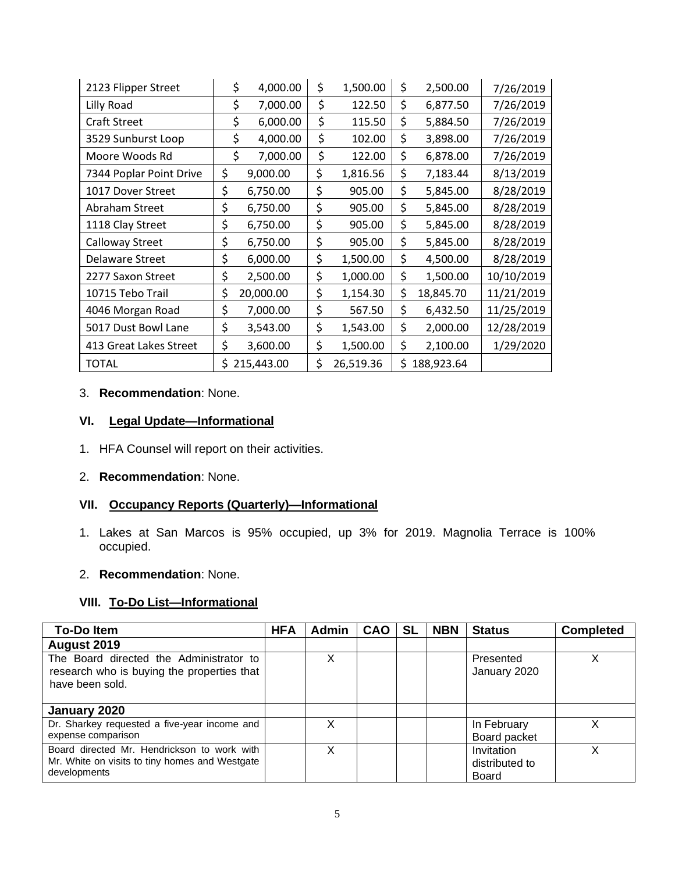| 2123 Flipper Street     | \$ | 4,000.00   | \$<br>1,500.00  | \$<br>2,500.00   | 7/26/2019  |
|-------------------------|----|------------|-----------------|------------------|------------|
| Lilly Road              | \$ | 7,000.00   | \$<br>122.50    | \$<br>6,877.50   | 7/26/2019  |
| <b>Craft Street</b>     | \$ | 6,000.00   | \$<br>115.50    | \$<br>5,884.50   | 7/26/2019  |
| 3529 Sunburst Loop      | \$ | 4,000.00   | \$<br>102.00    | \$<br>3,898.00   | 7/26/2019  |
| Moore Woods Rd          | \$ | 7,000.00   | \$<br>122.00    | \$<br>6,878.00   | 7/26/2019  |
| 7344 Poplar Point Drive | \$ | 9,000.00   | \$<br>1,816.56  | \$<br>7,183.44   | 8/13/2019  |
| 1017 Dover Street       | \$ | 6,750.00   | \$<br>905.00    | \$<br>5,845.00   | 8/28/2019  |
| Abraham Street          | \$ | 6,750.00   | \$<br>905.00    | \$<br>5,845.00   | 8/28/2019  |
| 1118 Clay Street        | \$ | 6,750.00   | \$<br>905.00    | \$<br>5,845.00   | 8/28/2019  |
| Calloway Street         | \$ | 6,750.00   | \$<br>905.00    | \$<br>5,845.00   | 8/28/2019  |
| <b>Delaware Street</b>  | \$ | 6,000.00   | \$<br>1,500.00  | \$<br>4,500.00   | 8/28/2019  |
| 2277 Saxon Street       | \$ | 2,500.00   | \$<br>1,000.00  | \$<br>1,500.00   | 10/10/2019 |
| 10715 Tebo Trail        | \$ | 20,000.00  | \$<br>1,154.30  | \$<br>18,845.70  | 11/21/2019 |
| 4046 Morgan Road        | \$ | 7,000.00   | \$<br>567.50    | \$<br>6,432.50   | 11/25/2019 |
| 5017 Dust Bowl Lane     | \$ | 3,543.00   | \$<br>1,543.00  | \$<br>2,000.00   | 12/28/2019 |
| 413 Great Lakes Street  | \$ | 3,600.00   | \$<br>1,500.00  | \$<br>2,100.00   | 1/29/2020  |
| <b>TOTAL</b>            | Ś. | 215,443.00 | \$<br>26,519.36 | \$<br>188,923.64 |            |

#### 3. **Recommendation**: None.

# **VI. Legal Update—Informational**

1. HFA Counsel will report on their activities.

#### 2. **Recommendation**: None.

# **VII. Occupancy Reports (Quarterly)—Informational**

1. Lakes at San Marcos is 95% occupied, up 3% for 2019. Magnolia Terrace is 100% occupied.

#### 2. **Recommendation**: None.

# **VIII. To-Do List—Informational**

| <b>To-Doltem</b>                                                                                              | <b>HFA</b> | <b>Admin</b> | <b>CAO</b> | <b>SL</b> | <b>NBN</b> | <b>Status</b>                                | <b>Completed</b> |
|---------------------------------------------------------------------------------------------------------------|------------|--------------|------------|-----------|------------|----------------------------------------------|------------------|
| August 2019                                                                                                   |            |              |            |           |            |                                              |                  |
| The Board directed the Administrator to<br>research who is buying the properties that<br>have been sold.      |            | Х            |            |           |            | Presented<br>January 2020                    | X                |
| January 2020                                                                                                  |            |              |            |           |            |                                              |                  |
| Dr. Sharkey requested a five-year income and<br>expense comparison                                            |            | Χ            |            |           |            | In February<br>Board packet                  |                  |
| Board directed Mr. Hendrickson to work with<br>Mr. White on visits to tiny homes and Westgate<br>developments |            | X            |            |           |            | Invitation<br>distributed to<br><b>Board</b> | x                |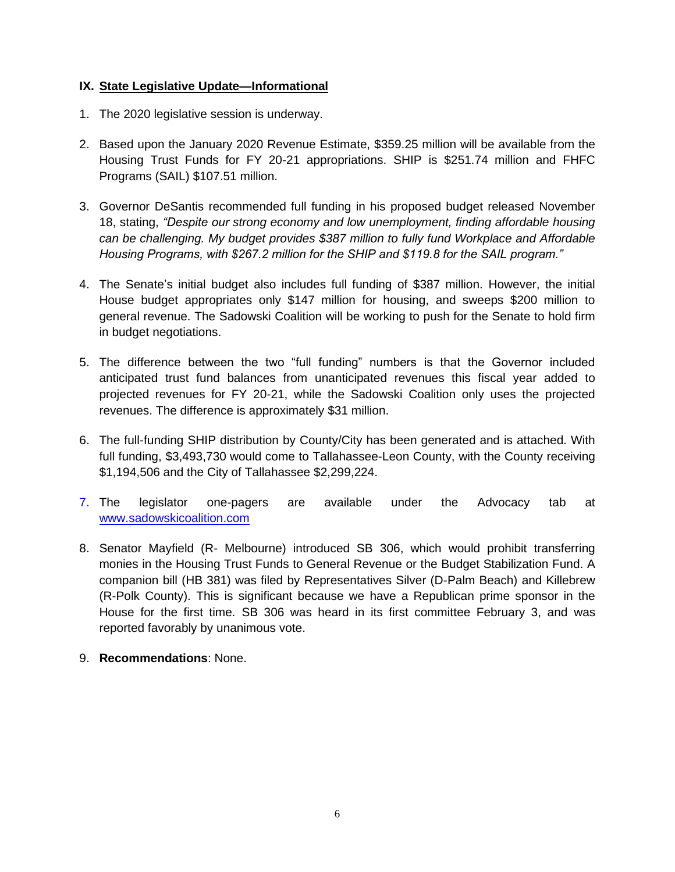## **IX. State Legislative Update—Informational**

- 1. The 2020 legislative session is underway.
- 2. Based upon the January 2020 Revenue Estimate, \$359.25 million will be available from the Housing Trust Funds for FY 20-21 appropriations. SHIP is \$251.74 million and FHFC Programs (SAIL) \$107.51 million.
- 3. Governor DeSantis recommended full funding in his proposed budget released November 18, stating, *"Despite our strong economy and low unemployment, finding affordable housing can be challenging. My budget provides \$387 million to fully fund Workplace and Affordable Housing Programs, with \$267.2 million for the SHIP and \$119.8 for the SAIL program."*
- 4. The Senate's initial budget also includes full funding of \$387 million. However, the initial House budget appropriates only \$147 million for housing, and sweeps \$200 million to general revenue. The Sadowski Coalition will be working to push for the Senate to hold firm in budget negotiations.
- 5. The difference between the two "full funding" numbers is that the Governor included anticipated trust fund balances from unanticipated revenues this fiscal year added to projected revenues for FY 20-21, while the Sadowski Coalition only uses the projected revenues. The difference is approximately \$31 million.
- 6. The full-funding SHIP distribution by County/City has been generated and is attached. With full funding, \$3,493,730 would come to Tallahassee-Leon County, with the County receiving \$1,194,506 and the City of Tallahassee \$2,299,224.
- 7. The legislator one-pagers are available under the Advocacy tab at [www.sadowskicoalition.com](http://www.sadowskicoalition.com/)
- 8. Senator Mayfield (R- Melbourne) introduced SB 306, which would prohibit transferring monies in the Housing Trust Funds to General Revenue or the Budget Stabilization Fund. A companion bill (HB 381) was filed by Representatives Silver (D-Palm Beach) and Killebrew (R-Polk County). This is significant because we have a Republican prime sponsor in the House for the first time. SB 306 was heard in its first committee February 3, and was reported favorably by unanimous vote.
- 9. **Recommendations**: None.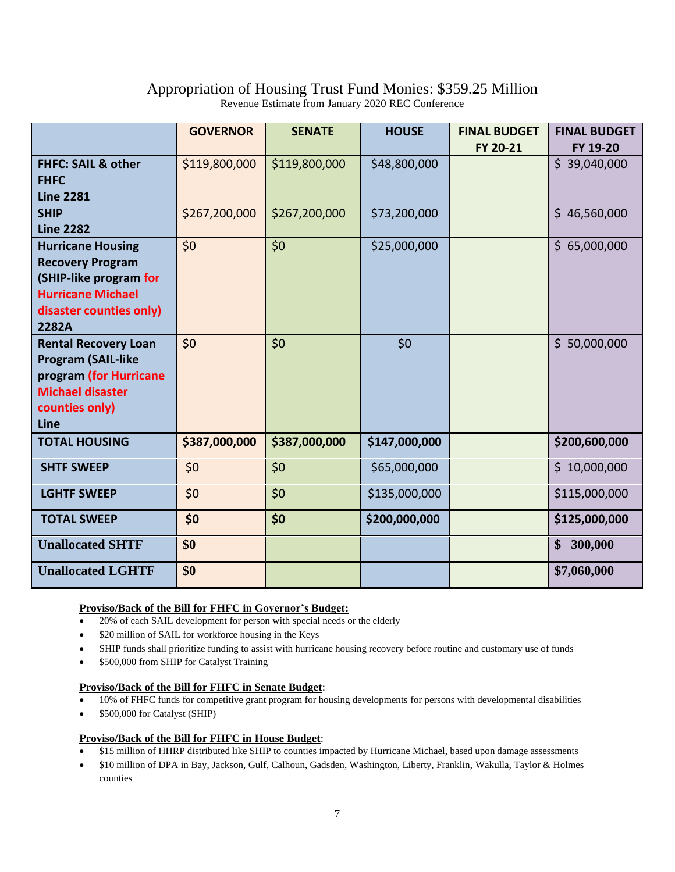# Appropriation of Housing Trust Fund Monies: \$359.25 Million

Revenue Estimate from January 2020 REC Conference

|                               | <b>GOVERNOR</b> | <b>SENATE</b> | <b>HOUSE</b>  | <b>FINAL BUDGET</b> | <b>FINAL BUDGET</b> |
|-------------------------------|-----------------|---------------|---------------|---------------------|---------------------|
|                               |                 |               |               | FY 20-21            | FY 19-20            |
| <b>FHFC: SAIL &amp; other</b> | \$119,800,000   | \$119,800,000 | \$48,800,000  |                     | \$39,040,000        |
| <b>FHFC</b>                   |                 |               |               |                     |                     |
| <b>Line 2281</b>              |                 |               |               |                     |                     |
| <b>SHIP</b>                   | \$267,200,000   | \$267,200,000 | \$73,200,000  |                     | \$46,560,000        |
| <b>Line 2282</b>              |                 |               |               |                     |                     |
| <b>Hurricane Housing</b>      | \$0             | \$0           | \$25,000,000  |                     | \$65,000,000        |
| <b>Recovery Program</b>       |                 |               |               |                     |                     |
| (SHIP-like program for        |                 |               |               |                     |                     |
| <b>Hurricane Michael</b>      |                 |               |               |                     |                     |
| disaster counties only)       |                 |               |               |                     |                     |
| 2282A                         |                 |               |               |                     |                     |
| <b>Rental Recovery Loan</b>   | \$0             | \$0           | \$0           |                     | \$50,000,000        |
| <b>Program (SAIL-like</b>     |                 |               |               |                     |                     |
| program (for Hurricane        |                 |               |               |                     |                     |
| <b>Michael disaster</b>       |                 |               |               |                     |                     |
| counties only)                |                 |               |               |                     |                     |
| Line                          |                 |               |               |                     |                     |
| <b>TOTAL HOUSING</b>          | \$387,000,000   | \$387,000,000 | \$147,000,000 |                     | \$200,600,000       |
| <b>SHTF SWEEP</b>             | \$0\$           | \$0           | \$65,000,000  |                     | \$10,000,000        |
| <b>LGHTF SWEEP</b>            | \$0             | \$0           | \$135,000,000 |                     | \$115,000,000       |
| <b>TOTAL SWEEP</b>            | \$0             | \$0           | \$200,000,000 |                     | \$125,000,000       |
| <b>Unallocated SHTF</b>       | \$0             |               |               |                     | \$300,000           |
| <b>Unallocated LGHTF</b>      | \$0             |               |               |                     | \$7,060,000         |

#### **Proviso/Back of the Bill for FHFC in Governor's Budget:**

- 20% of each SAIL development for person with special needs or the elderly
- \$20 million of SAIL for workforce housing in the Keys
- SHIP funds shall prioritize funding to assist with hurricane housing recovery before routine and customary use of funds
- \$500,000 from SHIP for Catalyst Training

#### **Proviso/Back of the Bill for FHFC in Senate Budget**:

- $\overline{\bullet}$  10% of FHFC funds for competitive grant program for housing developments for persons with developmental disabilities
- \$500,000 for Catalyst (SHIP)

#### **Proviso/Back of the Bill for FHFC in House Budget**:

- \$15 million of HHRP distributed like SHIP to counties impacted by Hurricane Michael, based upon damage assessments
- \$10 million of DPA in Bay, Jackson, Gulf, Calhoun, Gadsden, Washington, Liberty, Franklin, Wakulla, Taylor & Holmes counties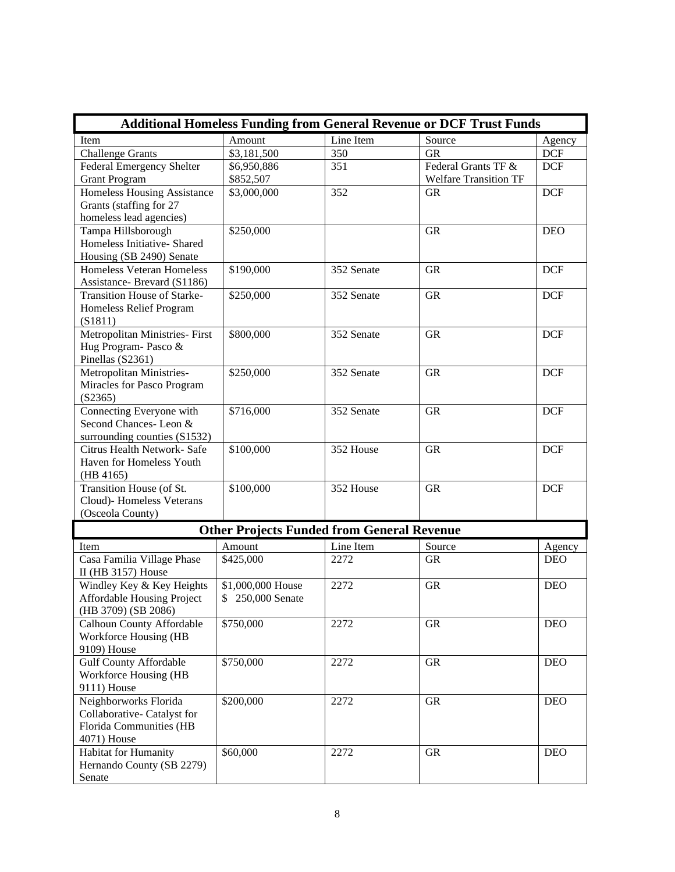| <b>Additional Homeless Funding from General Revenue or DCF Trust Funds</b> |                                                   |            |                              |            |  |  |  |  |
|----------------------------------------------------------------------------|---------------------------------------------------|------------|------------------------------|------------|--|--|--|--|
| Item                                                                       | Amount                                            | Line Item  | Source                       | Agency     |  |  |  |  |
| <b>Challenge Grants</b>                                                    | \$3,181,500                                       | 350        | <b>GR</b>                    | <b>DCF</b> |  |  |  |  |
| Federal Emergency Shelter                                                  | \$6,950,886                                       | 351        | Federal Grants TF &          | <b>DCF</b> |  |  |  |  |
| <b>Grant Program</b>                                                       | \$852,507                                         |            | <b>Welfare Transition TF</b> |            |  |  |  |  |
| Homeless Housing Assistance                                                | \$3,000,000                                       | 352        | <b>GR</b>                    | <b>DCF</b> |  |  |  |  |
| Grants (staffing for 27                                                    |                                                   |            |                              |            |  |  |  |  |
| homeless lead agencies)                                                    |                                                   |            |                              |            |  |  |  |  |
| Tampa Hillsborough                                                         | \$250,000                                         |            | <b>GR</b>                    | <b>DEO</b> |  |  |  |  |
| Homeless Initiative- Shared                                                |                                                   |            |                              |            |  |  |  |  |
| Housing (SB 2490) Senate                                                   |                                                   |            |                              |            |  |  |  |  |
| <b>Homeless Veteran Homeless</b>                                           | \$190,000                                         | 352 Senate | <b>GR</b>                    | <b>DCF</b> |  |  |  |  |
| Assistance- Brevard (S1186)                                                |                                                   |            |                              |            |  |  |  |  |
| Transition House of Starke-                                                | \$250,000                                         | 352 Senate | <b>GR</b>                    | <b>DCF</b> |  |  |  |  |
| Homeless Relief Program                                                    |                                                   |            |                              |            |  |  |  |  |
| (S1811)                                                                    |                                                   |            |                              |            |  |  |  |  |
| Metropolitan Ministries- First                                             | \$800,000                                         | 352 Senate | <b>GR</b>                    | <b>DCF</b> |  |  |  |  |
| Hug Program- Pasco &                                                       |                                                   |            |                              |            |  |  |  |  |
| Pinellas (S2361)                                                           |                                                   |            |                              |            |  |  |  |  |
| Metropolitan Ministries-                                                   | \$250,000                                         | 352 Senate | <b>GR</b>                    | <b>DCF</b> |  |  |  |  |
| Miracles for Pasco Program                                                 |                                                   |            |                              |            |  |  |  |  |
| (S2365)                                                                    |                                                   |            |                              |            |  |  |  |  |
| Connecting Everyone with                                                   | \$716,000                                         | 352 Senate | <b>GR</b>                    | <b>DCF</b> |  |  |  |  |
| Second Chances-Leon &                                                      |                                                   |            |                              |            |  |  |  |  |
| surrounding counties (S1532)                                               |                                                   |            |                              |            |  |  |  |  |
| Citrus Health Network- Safe                                                | \$100,000                                         | 352 House  | <b>GR</b>                    | <b>DCF</b> |  |  |  |  |
| Haven for Homeless Youth                                                   |                                                   |            |                              |            |  |  |  |  |
| (HB 4165)                                                                  |                                                   |            |                              |            |  |  |  |  |
| Transition House (of St.                                                   | \$100,000                                         | 352 House  | <b>GR</b>                    | <b>DCF</b> |  |  |  |  |
| Cloud)- Homeless Veterans                                                  |                                                   |            |                              |            |  |  |  |  |
| (Osceola County)                                                           |                                                   |            |                              |            |  |  |  |  |
|                                                                            | <b>Other Projects Funded from General Revenue</b> |            |                              |            |  |  |  |  |
| Item                                                                       | Amount                                            | Line Item  | Source                       | Agency     |  |  |  |  |
| Casa Familia Village Phase                                                 | \$425,000                                         | 2272       | <b>GR</b>                    | <b>DEO</b> |  |  |  |  |
| II (HB 3157) House                                                         |                                                   |            |                              |            |  |  |  |  |
| Windley Key & Key Heights                                                  | \$1,000,000 House                                 | 2272       | <b>GR</b>                    | <b>DEO</b> |  |  |  |  |
| <b>Affordable Housing Project</b>                                          | 250,000 Senate                                    |            |                              |            |  |  |  |  |
| (HB 3709) (SB 2086)                                                        |                                                   |            |                              |            |  |  |  |  |
| Calhoun County Affordable                                                  | \$750,000                                         | 2272       | <b>GR</b>                    | <b>DEO</b> |  |  |  |  |
| Workforce Housing (HB                                                      |                                                   |            |                              |            |  |  |  |  |
| 9109) House                                                                |                                                   |            |                              |            |  |  |  |  |
| <b>Gulf County Affordable</b>                                              | \$750,000                                         | 2272       | <b>GR</b>                    | <b>DEO</b> |  |  |  |  |
| Workforce Housing (HB                                                      |                                                   |            |                              |            |  |  |  |  |
| 9111) House                                                                |                                                   |            |                              |            |  |  |  |  |
| Neighborworks Florida                                                      | \$200,000                                         | 2272       | <b>GR</b>                    | <b>DEO</b> |  |  |  |  |
| Collaborative- Catalyst for                                                |                                                   |            |                              |            |  |  |  |  |
| <b>Florida Communities (HB</b>                                             |                                                   |            |                              |            |  |  |  |  |
| 4071) House                                                                |                                                   |            |                              |            |  |  |  |  |
| Habitat for Humanity                                                       | \$60,000                                          | 2272       | <b>GR</b>                    | <b>DEO</b> |  |  |  |  |
| Hernando County (SB 2279)                                                  |                                                   |            |                              |            |  |  |  |  |
| Senate                                                                     |                                                   |            |                              |            |  |  |  |  |